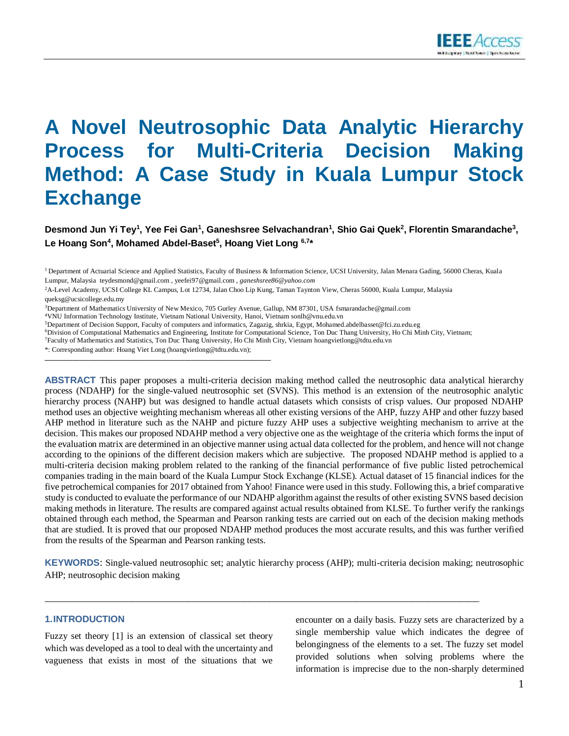# **A Novel Neutrosophic Data Analytic Hierarchy Process for Multi-Criteria Decision Making Method: A Case Study in Kuala Lumpur Stock Exchange**

**Desmond Jun Yi Tey<sup>1</sup> , Yee Fei Gan<sup>1</sup> , Ganeshsree Selvachandran<sup>1</sup> , Shio Gai Quek<sup>2</sup> , Florentin Smarandache<sup>3</sup> ,**  Le Hoang Son<sup>4</sup>, Mohamed Abdel-Baset<sup>5</sup>, Hoang Viet Long 6,7\*

queksg@ucsicollege.edu.my

<sup>4</sup>VNU Information Technology Institute, Vietnam National University, Hanoi, Vietnam sonlh@vnu.edu.vn

**ABSTRACT** This paper proposes a multi-criteria decision making method called the neutrosophic data analytical hierarchy process (NDAHP) for the single-valued neutrosophic set (SVNS). This method is an extension of the neutrosophic analytic hierarchy process (NAHP) but was designed to handle actual datasets which consists of crisp values. Our proposed NDAHP method uses an objective weighting mechanism whereas all other existing versions of the AHP, fuzzy AHP and other fuzzy based AHP method in literature such as the NAHP and picture fuzzy AHP uses a subjective weighting mechanism to arrive at the decision. This makes our proposed NDAHP method a very objective one as the weightage of the criteria which forms the input of the evaluation matrix are determined in an objective manner using actual data collected for the problem, and hence will not change according to the opinions of the different decision makers which are subjective. The proposed NDAHP method is applied to a multi-criteria decision making problem related to the ranking of the financial performance of five public listed petrochemical companies trading in the main board of the Kuala Lumpur Stock Exchange (KLSE). Actual dataset of 15 financial indices for the five petrochemical companies for 2017 obtained from Yahoo! Finance were used in this study. Following this, a brief comparative study is conducted to evaluate the performance of our NDAHP algorithm against the results of other existing SVNS based decision making methods in literature. The results are compared against actual results obtained from KLSE. To further verify the rankings obtained through each method, the Spearman and Pearson ranking tests are carried out on each of the decision making methods that are studied. It is proved that our proposed NDAHP method produces the most accurate results, and this was further verified from the results of the Spearman and Pearson ranking tests.

**KEYWORDS**: Single-valued neutrosophic set; analytic hierarchy process (AHP); multi-criteria decision making; neutrosophic AHP; neutrosophic decision making

\_\_\_\_\_\_\_\_\_\_\_\_\_\_\_\_\_\_\_\_\_\_\_\_\_\_\_\_\_\_\_\_\_\_\_\_\_\_\_\_\_\_\_\_\_\_\_\_\_\_\_\_\_\_\_\_\_\_\_\_\_\_\_\_\_\_\_\_\_\_\_\_\_\_\_\_\_\_\_\_\_\_\_\_\_

# **1.INTRODUCTION**

Fuzzy set theory [1] is an extension of classical set theory which was developed as a tool to deal with the uncertainty and vagueness that exists in most of the situations that we

encounter on a daily basis. Fuzzy sets are characterized by a single membership value which indicates the degree of belongingness of the elements to a set. The fuzzy set model provided solutions when solving problems where the information is imprecise due to the non-sharply determined

<sup>&</sup>lt;sup>1</sup> Department of Actuarial Science and Applied Statistics, Faculty of Business & Information Science, UCSI University, Jalan Menara Gading, 56000 Cheras, Kuala Lumpur, Malaysia teydesmond@gmail.com , yeefei97@gmail.com , *ganeshsree86@yahoo.com* 

<sup>2</sup>A-Level Academy, UCSI College KL Campus, Lot 12734, Jalan Choo Lip Kung, Taman Taynton View, Cheras 56000, Kuala Lumpur, Malaysia

<sup>3</sup>Department of Mathematics University of New Mexico, 705 Gurley Avenue, Gallup, NM 87301, USA fsmarandache@gmail.com

<sup>5</sup>Department of Decision Support, Faculty of computers and informatics, Zagazig, shrkia, Egypt, Mohamed.abdelbasset@fci.zu.edu.eg

<sup>6</sup>Division of Computational Mathematics and Engineering, Institute for Computational Science, Ton Duc Thang University, Ho Chi Minh City, Vietnam;

<sup>7</sup>Faculty of Mathematics and Statistics, Ton Duc Thang University, Ho Chi Minh City, Vietnam hoangvietlong@tdtu.edu.vn

<sup>\*:</sup> Corresponding author: Hoang Viet Long (hoangvietlong@tdtu.edu.vn); **\_\_\_\_\_\_\_\_\_\_\_\_\_\_\_\_\_\_\_\_\_\_\_\_\_\_\_\_\_\_\_\_\_\_\_\_\_\_\_\_\_\_\_\_\_\_\_\_\_\_\_\_\_\_\_\_\_\_\_\_\_\_\_\_\_**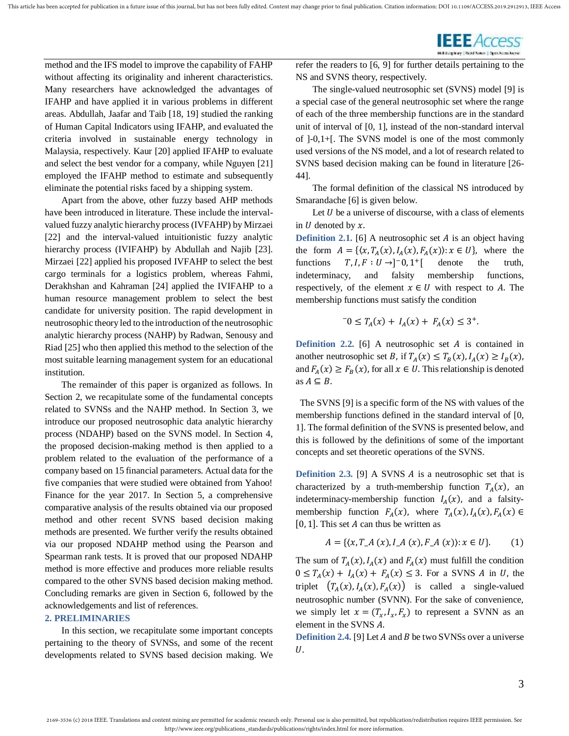

method and the IFS model to improve the capability of FAHP without affecting its originality and inherent characteristics. Many researchers have acknowledged the advantages of IFAHP and have applied it in various problems in different areas. Abdullah, Jaafar and Taib [18, 19] studied the ranking of Human Capital Indicators using IFAHP, and evaluated the criteria involved in sustainable energy technology in Malaysia, respectively. Kaur [20] applied IFAHP to evaluate and select the best vendor for a company, while Nguyen [21] employed the IFAHP method to estimate and subsequently eliminate the potential risks faced by a shipping system.

Apart from the above, other fuzzy based AHP methods have been introduced in literature. These include the intervalvalued fuzzy analytic hierarchy process (IVFAHP) by Mirzaei [22] and the interval-valued intuitionistic fuzzy analytic hierarchy process (IVIFAHP) by Abdullah and Najib [23]. Mirzaei [22] applied his proposed IVFAHP to select the best cargo terminals for a logistics problem, whereas Fahmi, Derakhshan and Kahraman [24] applied the IVIFAHP to a human resource management problem to select the best candidate for university position. The rapid development in neutrosophic theory led to the introduction of the neutrosophic analytic hierarchy process (NAHP) by Radwan, Senousy and Riad [25] who then applied this method to the selection of the most suitable learning management system for an educational institution.

The remainder of this paper is organized as follows. In Section 2, we recapitulate some of the fundamental concepts related to SVNSs and the NAHP method. In Section 3, we introduce our proposed neutrosophic data analytic hierarchy process (NDAHP) based on the SVNS model. In Section 4, the proposed decision-making method is then applied to a problem related to the evaluation of the performance of a company based on 15 financial parameters. Actual data for the five companies that were studied were obtained from Yahoo! Finance for the year 2017. In Section 5, a comprehensive comparative analysis of the results obtained via our proposed method and other recent SVNS based decision making methods are presented. We further verify the results obtained via our proposed NDAHP method using the Pearson and Spearman rank tests. It is proved that our proposed NDAHP method is more effective and produces more reliable results compared to the other SVNS based decision making method. Concluding remarks are given in Section 6, followed by the acknowledgements and list of references.

#### **2. PRELIMINARIES**

In this section, we recapitulate some important concepts pertaining to the theory of SVNSs, and some of the recent developments related to SVNS based decision making. We refer the readers to [6, 9] for further details pertaining to the NS and SVNS theory, respectively.

The single-valued neutrosophic set (SVNS) model [9] is a special case of the general neutrosophic set where the range of each of the three membership functions are in the standard unit of interval of [0, 1], instead of the non-standard interval of ]-0,1+[. The SVNS model is one of the most commonly used versions of the NS model, and a lot of research related to SVNS based decision making can be found in literature [26- 44].

The formal definition of the classical NS introduced by Smarandache [6] is given below.

Let  $U$  be a universe of discourse, with a class of elements in  $U$  denoted by  $x$ .

**Definition 2.1.** [6] A neutrosophic set  $A$  is an object having the form  $A = \{ (x, T_A(x), I_A(x), F_A(x)) : x \in U \}$ , where the functions  $T, I, F : U \rightarrow ]-0, 1^+[$  denote the truth, indeterminacy, and falsity membership functions, respectively, of the element  $x \in U$  with respect to A. The membership functions must satisfy the condition

$$
-0 \le T_A(x) + I_A(x) + F_A(x) \le 3^+.
$$

**Definition 2.2.** [6] A neutrosophic set  $A$  is contained in another neutrosophic set B, if  $T_A(x) \le T_B(x)$ ,  $I_A(x) \ge I_B(x)$ , and  $F_A(x) \geq F_B(x)$ , for all  $x \in U$ . This relationship is denoted as  $A \subseteq B$ .

The SVNS [9] is a specific form of the NS with values of the membership functions defined in the standard interval of [0, 1]. The formal definition of the SVNS is presented below, and this is followed by the definitions of some of the important concepts and set theoretic operations of the SVNS.

**Definition 2.3.** [9] A SVNS A is a neutrosophic set that is characterized by a truth-membership function  $T_A(x)$ , an indeterminacy-membership function  $I_A(x)$ , and a falsitymembership function  $F_A(x)$ , where  $T_A(x)$ ,  $I_A(x)$ ,  $F_A(x) \in$ [0, 1]. This set A can thus be written as

$$
A = \{ (x, T_A(x), I_A(x), F_A(x)) : x \in U \}.
$$
 (1)

The sum of  $T_A(x)$ ,  $I_A(x)$  and  $F_A(x)$  must fulfill the condition  $0 \leq T_A(x) + I_A(x) + F_A(x) \leq 3$ . For a SVNS A in U, the triplet  $(T_A(x), I_A(x), F_A(x))$  is called a single-valued neutrosophic number (SVNN). For the sake of convenience, we simply let  $x = (T_x, I_x, F_x)$  to represent a SVNN as an element in the SVNS A.

**Definition 2.4.** [9] Let A and B be two SVNSs over a universe  $U.$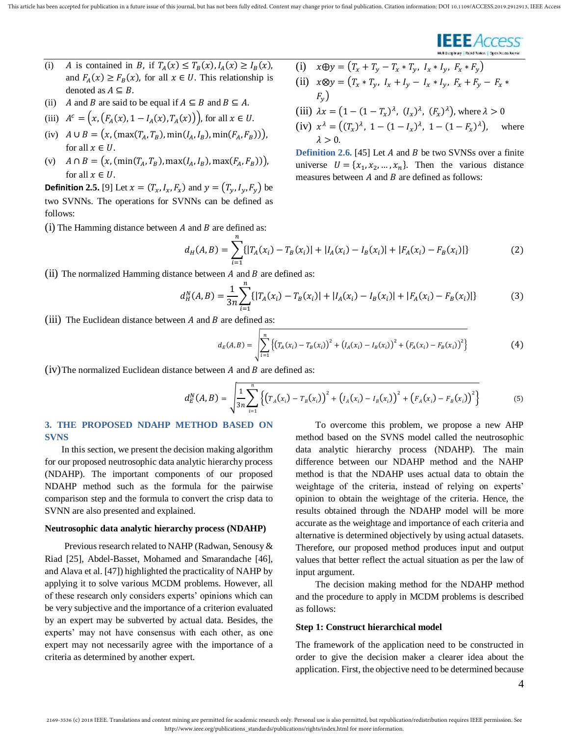$F_y)$ 

 $\lambda > 0$ .



), where

- (i) A is contained in B, if  $T_A(x) \le T_B(x)$ ,  $I_A(x) \ge I_B(x)$ , and  $F_A(x) \ge F_B(x)$ , for all  $x \in U$ . This relationship is denoted as  $A \subseteq B$ .
- (ii) A and B are said to be equal if  $A \subseteq B$  and  $B \subseteq A$ .
- (iii)  $A^c = (x, (F_A(x), 1 I_A(x), T_A(x)))$ , for all  $x \in U$ .
- (iv)  $A \cup B = (x, (\max(T_A, T_B), \min(I_A, I_B), \min(F_A, F_B))),$ for all  $x \in U$ .
- (v)  $A \cap B = (x, (\min(T_A, T_B), \max(I_A, I_B), \max(F_A, F_B)))$ , for all  $x \in U$ .

**Definition 2.5. [9] Let**  $x = (T_x, I_x, F_x)$  **and**  $y = (T_y, I_y, F_y)$  **be** two SVNNs. The operations for SVNNs can be defined as follows:

 $(i)$  The Hamming distance between A a

1 and *B* are defined as:  
\n
$$
d_H(A, B) = \sum_{i=1}^{n} \{ |T_A(x_i) - T_B(x_i)| + |I_A(x_i) - I_B(x_i)| + |F_A(x_i) - F_B(x_i)| \}
$$
\n(2)

(i)  $x \oplus y = (T_x + T_y - T_x * T_y, I_x * I_y, F_x * F_y)$ (ii)  $x \otimes y = (T_x * T_y, I_x + I_y - I_x * I_y, F_x + F_y - F_x *$ 

(iv)  $x^{\lambda} = ((T_x)^{\lambda}, 1 - (1 - I_x)^{\lambda}, 1 - (1 - F_x))$ 

measures between  $A$  and  $B$  are defined as follows:

(iii)  $\lambda x = (1 - (1 - T_x)^{\lambda}, (I_x)^{\lambda}, (F_x)^{\lambda})$ , where  $\lambda > 0$ 

**Definition 2.6.** [45] Let *A* and *B* be two SVNSs over a finite universe  $U = \{x_1, x_2, ..., x_n\}$ . Then the various distance

(ii) The normalized Hamming distance between  $A$  and  $B$  are defined as:

 $i=1$ 

$$
d_H^N(A, B) = \frac{1}{3n} \sum_{i=1}^n \{ |T_A(x_i) - T_B(x_i)| + |I_A(x_i) - I_B(x_i)| + |F_A(x_i) - F_B(x_i)| \}
$$
(3)

(iii) The Euclidean distance between  $A$  and  $B$  are defined as:

$$
d_E(A, B) = \sqrt{\sum_{i=1}^{n} \left\{ \left( T_A(x_i) - T_B(x_i) \right)^2 + \left( I_A(x_i) - I_B(x_i) \right)^2 + \left( F_A(x_i) - F_B(x_i) \right)^2 \right\}}
$$
(4)

 $(iv)$ The normalized Euclidean distance between A and B are defined as:

$$
d_E^N(A,B) = \sqrt{\frac{1}{3n} \sum_{i=1}^n \left\{ \left( r_A(x_i) - r_B(x_i) \right)^2 + \left( I_A(x_i) - I_B(x_i) \right)^2 + \left( F_A(x_i) - F_B(x_i) \right)^2 \right\}}
$$
(5)

# **3. THE PROPOSED NDAHP METHOD BASED ON SVNS**

In this section, we present the decision making algorithm for our proposed neutrosophic data analytic hierarchy process (NDAHP). The important components of our proposed NDAHP method such as the formula for the pairwise comparison step and the formula to convert the crisp data to SVNN are also presented and explained.

#### **Neutrosophic data analytic hierarchy process (NDAHP)**

Previous research related to NAHP (Radwan, Senousy & Riad [25], Abdel-Basset, Mohamed and Smarandache [46], and Alava et al. [47]) highlighted the practicality of NAHP by applying it to solve various MCDM problems. However, all of these research only considers experts' opinions which can be very subjective and the importance of a criterion evaluated by an expert may be subverted by actual data. Besides, the experts' may not have consensus with each other, as one expert may not necessarily agree with the importance of a criteria as determined by another expert.

To overcome this problem, we propose a new AHP method based on the SVNS model called the neutrosophic data analytic hierarchy process (NDAHP). The main difference between our NDAHP method and the NAHP method is that the NDAHP uses actual data to obtain the weightage of the criteria, instead of relying on experts' opinion to obtain the weightage of the criteria. Hence, the results obtained through the NDAHP model will be more accurate as the weightage and importance of each criteria and alternative is determined objectively by using actual datasets. Therefore, our proposed method produces input and output values that better reflect the actual situation as per the law of input argument.

The decision making method for the NDAHP method and the procedure to apply in MCDM problems is described as follows:

#### **Step 1: Construct hierarchical model**

The framework of the application need to be constructed in order to give the decision maker a clearer idea about the application. First, the objective need to be determined because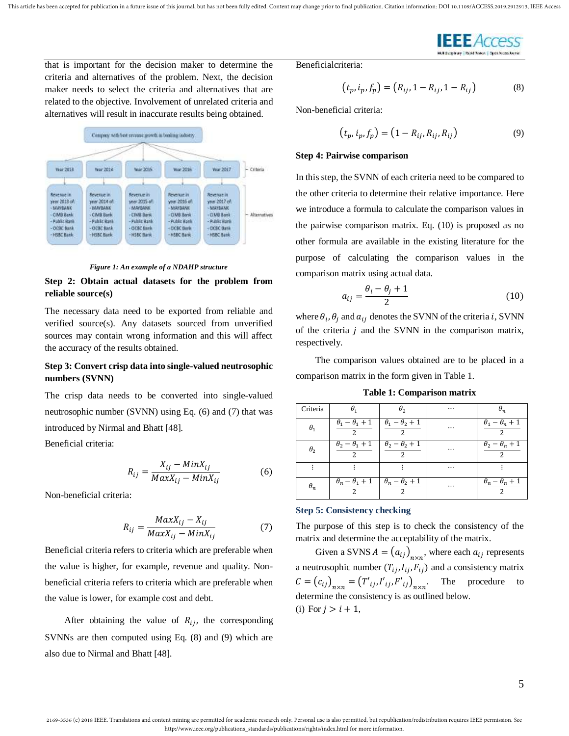

that is important for the decision maker to determine the criteria and alternatives of the problem. Next, the decision maker needs to select the criteria and alternatives that are related to the objective. Involvement of unrelated criteria and alternatives will result in inaccurate results being obtained.



*Figure 1: An example of a NDAHP structure* 

# **Step 2: Obtain actual datasets for the problem from reliable source(s)**

The necessary data need to be exported from reliable and verified source(s). Any datasets sourced from unverified sources may contain wrong information and this will affect the accuracy of the results obtained.

# **Step 3: Convert crisp data into single-valued neutrosophic numbers (SVNN)**

The crisp data needs to be converted into single-valued neutrosophic number (SVNN) using Eq. (6) and (7) that was introduced by Nirmal and Bhatt [48].

Beneficial criteria:

$$
R_{ij} = \frac{X_{ij} - MinX_{ij}}{MaxX_{ij} - MinX_{ij}}
$$
 (6)

Non-beneficial criteria:

$$
R_{ij} = \frac{MaxX_{ij} - X_{ij}}{MaxX_{ij} - MinX_{ij}}
$$
(7)

Beneficial criteria refers to criteria which are preferable when the value is higher, for example, revenue and quality. Nonbeneficial criteria refers to criteria which are preferable when the value is lower, for example cost and debt.

After obtaining the value of  $R_{ij}$ , the corresponding SVNNs are then computed using Eq. (8) and (9) which are also due to Nirmal and Bhatt [48].

Beneficialcriteria:

$$
(t_p, i_p, f_p) = (R_{ij}, 1 - R_{ij}, 1 - R_{ij})
$$
 (8)

Non-beneficial criteria:

$$
(t_p, i_p, f_p) = (1 - R_{ij}, R_{ij}, R_{ij})
$$
\n(9)

#### **Step 4: Pairwise comparison**

In this step, the SVNN of each criteria need to be compared to the other criteria to determine their relative importance. Here we introduce a formula to calculate the comparison values in the pairwise comparison matrix. Eq. (10) is proposed as no other formula are available in the existing literature for the purpose of calculating the comparison values in the comparison matrix using actual data.

$$
a_{ij} = \frac{\theta_i - \theta_j + 1}{2} \tag{10}
$$

where  $\theta_i$ ,  $\theta_j$  and  $a_{ij}$  denotes the SVNN of the criteria *i*, SVNN of the criteria  $j$  and the SVNN in the comparison matrix, respectively.

The comparison values obtained are to be placed in a comparison matrix in the form given in Table 1.

**Table 1: Comparison matrix**

| Criteria   | $\theta_1$                     | $\theta_{2}$              | $\cdots$ | $\theta_n$                     |
|------------|--------------------------------|---------------------------|----------|--------------------------------|
| $\theta_1$ | $\theta_1 - \theta_1 + 1$<br>2 | $\theta_1 - \theta_2 + 1$ | $\cdots$ | $\theta_1$<br>$-\theta_n$<br>っ |
| $\theta_2$ | $\theta_2-\theta_1+1$          | $\theta_2 - \theta_2 + 1$ | $\cdots$ | $\theta_2-\theta_n+1$<br>∍     |
|            |                                |                           | $\cdots$ |                                |
| $\theta_n$ | $\theta_n - \theta_1 + 1$      | $\theta_n - \theta_2 + 1$ | $\cdots$ | $\theta_n - \theta_n + 1$      |

## **Step 5: Consistency checking**

The purpose of this step is to check the consistency of the matrix and determine the acceptability of the matrix.

Given a SVNS  $A = (a_{ij})_{n \times n}$ , where each  $a_{ij}$  represents a neutrosophic number  $(T_{ij}, I_{ij}, F_{ij})$  and a consistency matrix  $C = (c_{ij})_{n \times n} = (T'_{ij}, I'_{ij}, F'_{ij})_{n \times n}$ . The procedure to determine the consistency is as outlined below. (i) For  $j > i + 1$ ,

<sup>2169-3536 (</sup>c) 2018 IEEE. Translations and content mining are permitted for academic research only. Personal use is also permitted, but republication/redistribution requires IEEE permission. See http://www.ieee.org/publications\_standards/publications/rights/index.html for more information.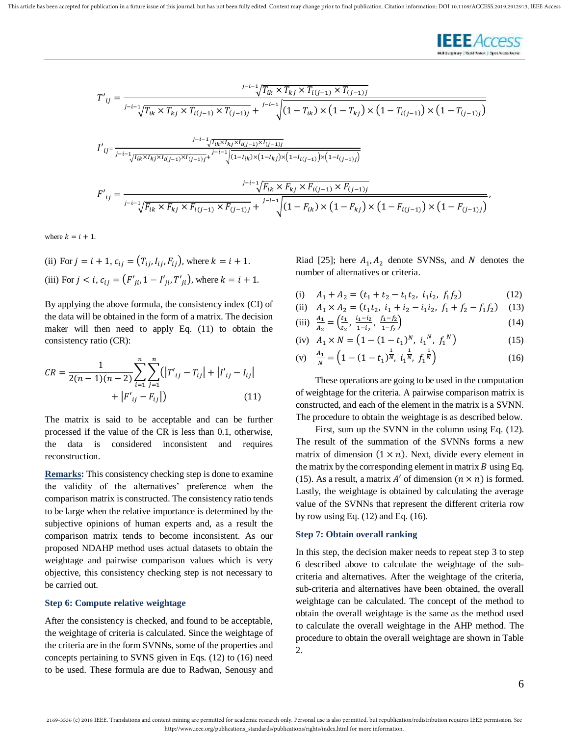

$$
T'_{ij} = \frac{1 - i\sqrt{T_{ik} \times T_{kj} \times T_{i(j-1)} \times T_{(j-1)j}}}{1 - i\sqrt{T_{ik} \times T_{kj} \times T_{i(j-1)} \times T_{(j-1)j}} + \sqrt{1 - T_{ik} \times T_{k,j} \times (1 - T_{kj}) \times (1 - T_{i(j-1)}) \times (1 - T_{(j-1)j})}}
$$
\n
$$
I'_{ij} = \frac{1 - i\sqrt{T_{ik} \times T_{kj} \times T_{i(j-1)} \times T_{(j-1)j}}}{1 - i\sqrt{T_{ik} \times T_{kj} \times T_{i(j-1)j}} + \sqrt{1 - i\sqrt{T_{ik} \times T_{k,j} \times T_{i(j-1)j}}}}
$$
\n
$$
F'_{ij} = \frac{1 - i\sqrt{T_{ik} \times T_{kj} \times T_{i(j-1)j}}}{1 - i\sqrt{T_{ik} \times T_{kj} \times T_{i(j-1)} \times T_{(j-1)j}}} + \sqrt{1 - T_{ik} \times T_{kj} \times T_{i(j-1) \times T_{(j-1)j}}}
$$
\n
$$
F'_{ij} = \frac{1 - i\sqrt{T_{ik} \times T_{kj} \times T_{i(j-1)} \times T_{i(j-1)j}}}{1 - i\sqrt{T_{ik} \times T_{kj} \times T_{i(j-1)} \times T_{(j-1)j}}} + \sqrt{1 - T_{ik} \times T_{k,j} \times (1 - T_{kj}) \times (1 - T_{i(j-1)}) \times (1 - T_{(j-1)j})}
$$

where  $k = i + 1$ .

(ii) For 
$$
j = i + 1
$$
,  $c_{ij} = (T_{ij}, I_{ij}, F_{ij})$ , where  $k = i + 1$ .  
(iii) For  $j < i$ ,  $c_{ij} = (F'_{ji}, 1 - I'_{ji}, T'_{ji})$ , where  $k = i + 1$ .

By applying the above formula, the consistency index (CI) of the data will be obtained in the form of a matrix. The decision maker will then need to apply Eq. (11) to obtain the consistency ratio (CR):

$$
CR = \frac{1}{2(n-1)(n-2)} \sum_{i=1}^{n} \sum_{j=1}^{n} (|T'_{ij} - T_{ij}| + |I'_{ij} - I_{ij}| + |F'_{ij} - F_{ij}|)
$$
\n
$$
+ |F'_{ij} - F_{ij}|)
$$
\n(11)

The matrix is said to be acceptable and can be further processed if the value of the CR is less than 0.1, otherwise, the data is considered inconsistent and requires reconstruction.

**Remarks:** This consistency checking step is done to examine the validity of the alternatives' preference when the comparison matrix is constructed. The consistency ratio tends to be large when the relative importance is determined by the subjective opinions of human experts and, as a result the comparison matrix tends to become inconsistent. As our proposed NDAHP method uses actual datasets to obtain the weightage and pairwise comparison values which is very objective, this consistency checking step is not necessary to be carried out.

#### **Step 6: Compute relative weightage**

After the consistency is checked, and found to be acceptable, the weightage of criteria is calculated. Since the weightage of the criteria are in the form SVNNs, some of the properties and concepts pertaining to SVNS given in Eqs. (12) to (16) need to be used. These formula are due to Radwan, Senousy and

Riad [25]; here  $A_1$ ,  $A_2$  denote SVNSs, and N denotes the number of alternatives or criteria.

- (i)  $A_1 + A_2 = (t_1 + t_2 t_1 t_2, i_1 i_2, f_1 f_2)$  $(12)$
- (ii)  $A_1 \times A_2 = (t_1 t_2, i_1 + i_2 i_1 i_2, f_1 + f_2 f_1 f_2)$ ) (13)

(iii) 
$$
\frac{A_1}{A_2} = \left(\frac{t_1}{t_2}, \frac{i_1 - i_2}{1 - i_2}, \frac{f_1 - f_2}{1 - f_2}\right)
$$
 (14)

(iv) 
$$
A_1 \times N = (1 - (1 - t_1)^N, i_1^N, f_1^N)
$$
 (15)

(v) 
$$
\frac{A_1}{N} = \left(1 - (1 - t_1)^{\frac{1}{N}}, \ i_1^{\frac{1}{N}}, \ f_1^{\frac{1}{N}}\right)
$$
 (16)

These operations are going to be used in the computation of weightage for the criteria. A pairwise comparison matrix is constructed, and each of the element in the matrix is a SVNN. The procedure to obtain the weightage is as described below.

First, sum up the SVNN in the column using Eq. (12). The result of the summation of the SVNNs forms a new matrix of dimension  $(1 \times n)$ . Next, divide every element in the matrix by the corresponding element in matrix  $B$  using Eq. (15). As a result, a matrix A' of dimension  $(n \times n)$  is formed. Lastly, the weightage is obtained by calculating the average value of the SVNNs that represent the different criteria row by row using Eq.  $(12)$  and Eq.  $(16)$ .

#### **Step 7: Obtain overall ranking**

In this step, the decision maker needs to repeat step 3 to step 6 described above to calculate the weightage of the subcriteria and alternatives. After the weightage of the criteria, sub-criteria and alternatives have been obtained, the overall weightage can be calculated. The concept of the method to obtain the overall weightage is the same as the method used to calculate the overall weightage in the AHP method. The procedure to obtain the overall weightage are shown in Table 2.

<sup>2169-3536 (</sup>c) 2018 IEEE. Translations and content mining are permitted for academic research only. Personal use is also permitted, but republication/redistribution requires IEEE permission. See http://www.ieee.org/publications\_standards/publications/rights/index.html for more information.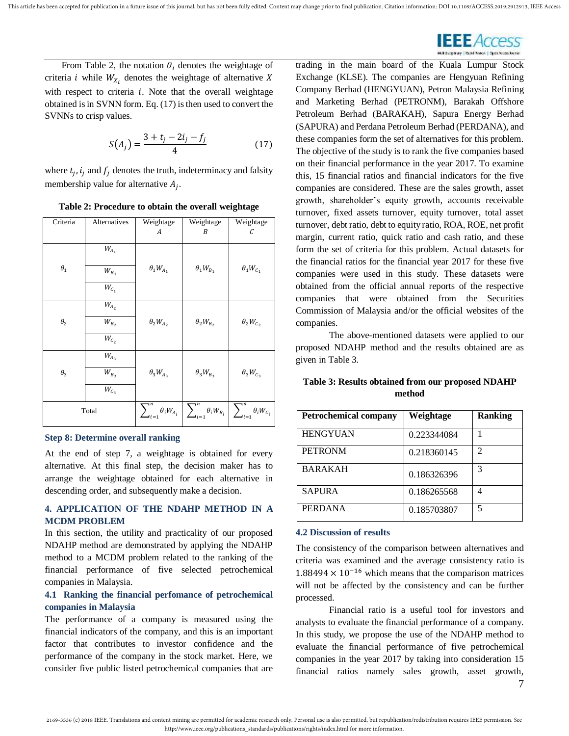

From Table 2, the notation  $\theta_i$  denotes the weightage of criteria *i* while  $W_{X_i}$  denotes the weightage of alternative X with respect to criteria  $i$ . Note that the overall weightage obtained is in SVNN form. Eq. (17) is then used to convert the SVNNs to crisp values.

$$
S(A_j) = \frac{3 + t_j - 2i_j - f_j}{4}
$$
 (17)

where  $t_j$ ,  $i_j$  and  $f_j$  denotes the truth, indeterminacy and falsity membership value for alternative  $A_j$ .

|  |  |  | Table 2: Procedure to obtain the overall weightage |  |
|--|--|--|----------------------------------------------------|--|
|  |  |  |                                                    |  |

| Criteria   | Alternatives                  | Weightage<br>А                                          | Weightage<br>B                                                | Weightage<br>С                                      |
|------------|-------------------------------|---------------------------------------------------------|---------------------------------------------------------------|-----------------------------------------------------|
| $\theta_1$ | $W_{\!A_1}$<br>$W_{B_1}$      | $\theta_1 W_{A_1}$                                      | $\theta_1 W_{B_1}$                                            | $\theta_1W_{\mathcal{C}_1}$                         |
|            | $W_{\mathcal{C}_1}$           |                                                         |                                                               |                                                     |
|            | $W_{\!A_2}$                   |                                                         |                                                               |                                                     |
| $\theta_2$ | ${\cal W}_{B_2}$<br>$W_{C_2}$ | $\theta_2 W_{A_2}$                                      | $\theta_2 W_{B_2}$                                            | $\theta_2W_{\mathcal{C}_2}$                         |
|            |                               |                                                         |                                                               |                                                     |
|            | $W_{\!A_3}$                   |                                                         |                                                               |                                                     |
| $\theta_3$ | ${\cal W}_{B_3}$              | $\theta_3 W_{A_3}$                                      | $\theta_3 W_{B_3}$                                            | $\theta_3W_{\mathcal{C}_3}$                         |
|            | $W_{C_3}$                     |                                                         |                                                               |                                                     |
| Total      |                               | $\overline{\mathbf{u}}$<br>$\theta_i W_{A_i}$<br>$-i=1$ | $\overline{\mathbf{u}}$<br>$\theta_i W_{B_i}$<br>$\sum_{i=1}$ | $\mathbf{r}$<br>$\theta_i W_{C_i}$<br>$\frac{1}{i}$ |

#### **Step 8: Determine overall ranking**

At the end of step 7, a weightage is obtained for every alternative. At this final step, the decision maker has to arrange the weightage obtained for each alternative in descending order, and subsequently make a decision.

# **4. APPLICATION OF THE NDAHP METHOD IN A MCDM PROBLEM**

In this section, the utility and practicality of our proposed NDAHP method are demonstrated by applying the NDAHP method to a MCDM problem related to the ranking of the financial performance of five selected petrochemical companies in Malaysia.

# **4.1 Ranking the financial perfomance of petrochemical companies in Malaysia**

The performance of a company is measured using the financial indicators of the company, and this is an important factor that contributes to investor confidence and the performance of the company in the stock market. Here, we consider five public listed petrochemical companies that are

trading in the main board of the Kuala Lumpur Stock Exchange (KLSE). The companies are Hengyuan Refining Company Berhad (HENGYUAN), Petron Malaysia Refining and Marketing Berhad (PETRONM), Barakah Offshore Petroleum Berhad (BARAKAH), Sapura Energy Berhad (SAPURA) and Perdana Petroleum Berhad (PERDANA), and these companies form the set of alternatives for this problem. The objective of the study is to rank the five companies based on their financial performance in the year 2017. To examine this, 15 financial ratios and financial indicators for the five companies are considered. These are the sales growth, asset growth, shareholder's equity growth, accounts receivable turnover, fixed assets turnover, equity turnover, total asset turnover, debt ratio, debt to equity ratio, ROA, ROE, net profit margin, current ratio, quick ratio and cash ratio, and these form the set of criteria for this problem. Actual datasets for the financial ratios for the financial year 2017 for these five companies were used in this study. These datasets were obtained from the official annual reports of the respective companies that were obtained from the Securities Commission of Malaysia and/or the official websites of the companies.

 The above-mentioned datasets were applied to our proposed NDAHP method and the results obtained are as given in Table 3.

| <b>Petrochemical company</b> | Weightage   | <b>Ranking</b> |
|------------------------------|-------------|----------------|
| <b>HENGYUAN</b>              | 0.223344084 |                |
| <b>PETRONM</b>               | 0.218360145 | 2              |
| <b>BARAKAH</b>               | 0.186326396 | 3              |
| <b>SAPURA</b>                | 0.186265568 |                |
| PERDANA                      | 0.185703807 | 5              |

**Table 3: Results obtained from our proposed NDAHP method** 

#### **4.2 Discussion of results**

The consistency of the comparison between alternatives and criteria was examined and the average consistency ratio is  $1.88494 \times 10^{-16}$  which means that the comparison matrices will not be affected by the consistency and can be further processed.

Financial ratio is a useful tool for investors and analysts to evaluate the financial performance of a company. In this study, we propose the use of the NDAHP method to evaluate the financial performance of five petrochemical companies in the year 2017 by taking into consideration 15 financial ratios namely sales growth, asset growth,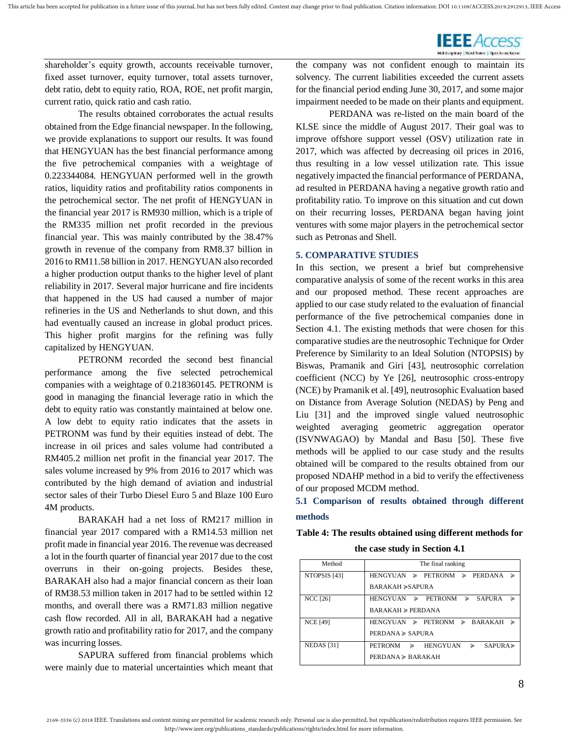

shareholder's equity growth, accounts receivable turnover, fixed asset turnover, equity turnover, total assets turnover, debt ratio, debt to equity ratio, ROA, ROE, net profit margin, current ratio, quick ratio and cash ratio.

The results obtained corroborates the actual results obtained from the Edge financial newspaper. In the following, we provide explanations to support our results. It was found that HENGYUAN has the best financial performance among the five petrochemical companies with a weightage of 0.223344084. HENGYUAN performed well in the growth ratios, liquidity ratios and profitability ratios components in the petrochemical sector. The net profit of HENGYUAN in the financial year 2017 is RM930 million, which is a triple of the RM335 million net profit recorded in the previous financial year. This was mainly contributed by the 38.47% growth in revenue of the company from RM8.37 billion in 2016 to RM11.58 billion in 2017. HENGYUAN also recorded a higher production output thanks to the higher level of plant reliability in 2017. Several major hurricane and fire incidents that happened in the US had caused a number of major refineries in the US and Netherlands to shut down, and this had eventually caused an increase in global product prices. This higher profit margins for the refining was fully capitalized by HENGYUAN.

PETRONM recorded the second best financial performance among the five selected petrochemical companies with a weightage of 0.218360145. PETRONM is good in managing the financial leverage ratio in which the debt to equity ratio was constantly maintained at below one. A low debt to equity ratio indicates that the assets in PETRONM was fund by their equities instead of debt. The increase in oil prices and sales volume had contributed a RM405.2 million net profit in the financial year 2017. The sales volume increased by 9% from 2016 to 2017 which was contributed by the high demand of aviation and industrial sector sales of their Turbo Diesel Euro 5 and Blaze 100 Euro 4M products.

BARAKAH had a net loss of RM217 million in financial year 2017 compared with a RM14.53 million net profit made in financial year 2016. The revenue was decreased a lot in the fourth quarter of financial year 2017 due to the cost overruns in their on-going projects. Besides these, BARAKAH also had a major financial concern as their loan of RM38.53 million taken in 2017 had to be settled within 12 months, and overall there was a RM71.83 million negative cash flow recorded. All in all, BARAKAH had a negative growth ratio and profitability ratio for 2017, and the company was incurring losses.

SAPURA suffered from financial problems which were mainly due to material uncertainties which meant that

the company was not confident enough to maintain its solvency. The current liabilities exceeded the current assets for the financial period ending June 30, 2017, and some major impairment needed to be made on their plants and equipment.

PERDANA was re-listed on the main board of the KLSE since the middle of August 2017. Their goal was to improve offshore support vessel (OSV) utilization rate in 2017, which was affected by decreasing oil prices in 2016, thus resulting in a low vessel utilization rate. This issue negatively impacted the financial performance of PERDANA, ad resulted in PERDANA having a negative growth ratio and profitability ratio. To improve on this situation and cut down on their recurring losses, PERDANA began having joint ventures with some major players in the petrochemical sector such as Petronas and Shell.

## **5. COMPARATIVE STUDIES**

In this section, we present a brief but comprehensive comparative analysis of some of the recent works in this area and our proposed method. These recent approaches are applied to our case study related to the evaluation of financial performance of the five petrochemical companies done in Section 4.1. The existing methods that were chosen for this comparative studies are the neutrosophic Technique for Order Preference by Similarity to an Ideal Solution (NTOPSIS) by Biswas, Pramanik and Giri [43], neutrosophic correlation coefficient (NCC) by Ye [26], neutrosophic cross-entropy (NCE) by Pramanik et al. [49], neutrosophic Evaluation based on Distance from Average Solution (NEDAS) by Peng and Liu [31] and the improved single valued neutrosophic weighted averaging geometric aggregation operator (ISVNWAGAO) by Mandal and Basu [50]. These five methods will be applied to our case study and the results obtained will be compared to the results obtained from our proposed NDAHP method in a bid to verify the effectiveness of our proposed MCDM method.

**5.1 Comparison of results obtained through different methods** 

**Table 4: The results obtained using different methods for** 

**the case study in Section 4.1** 

| Method                  | The final ranking                                             |  |  |  |  |
|-------------------------|---------------------------------------------------------------|--|--|--|--|
| NTOPSIS <sup>[43]</sup> | HENGYUAN $\geq$ PETRONM $\geq$ PERDANA $\geq$                 |  |  |  |  |
|                         | BARAKAH ≽SAPURA                                               |  |  |  |  |
| <b>NCC</b> [26]         | $HENGYUAN \geqslant PETRONM \geqslant SAPURA$<br>— ≽          |  |  |  |  |
|                         | $BARAKAH \geqslant PERDANA$                                   |  |  |  |  |
| <b>NCE [49]</b>         | HENGYUAN $\geq$ PETRONM $\geq$ BARAKAH $\geq$                 |  |  |  |  |
|                         | $PERDANA \geq SAPURA$                                         |  |  |  |  |
| <b>NEDAS</b> [31]       | PETRONM<br>$\geqslant$ HENGYUAN $\geqslant$<br>$SAPIIRA \geq$ |  |  |  |  |
|                         | $PERDANA \geq BARAKAH$                                        |  |  |  |  |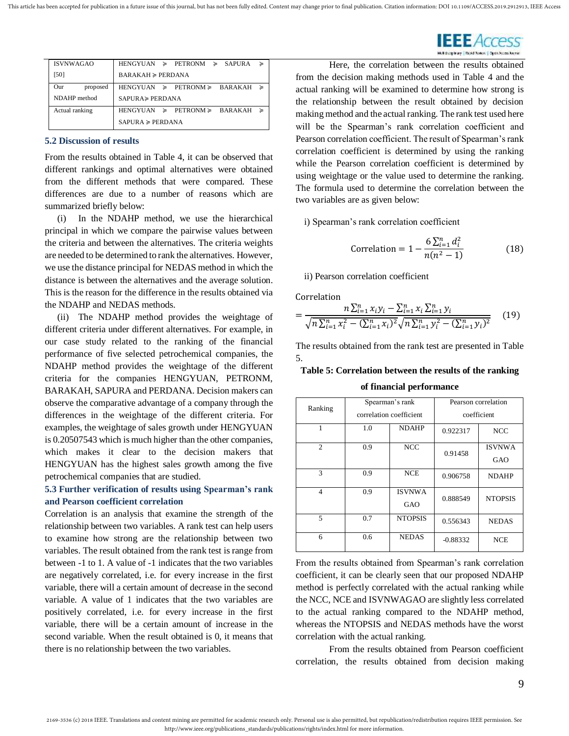

| <b>ISVNWAGAO</b> | HENGYUAN $\geq$ PETRONM $\geq$ SAPURA<br>≽    |  |  |  |  |  |
|------------------|-----------------------------------------------|--|--|--|--|--|
| [50]             | $BARAKAH \geq PERDANA$                        |  |  |  |  |  |
| Our<br>proposed  | HENGYUAN $\geq$ PETRONM $\geq$ BARAKAH $\geq$ |  |  |  |  |  |
| NDAHP method     | SAPURA≽ PERDANA                               |  |  |  |  |  |
| Actual ranking   | HENGYUAN $\geq$ PETRONM $\geq$ BARAKAH $\geq$ |  |  |  |  |  |
|                  | $SAPURA \geq PERDANA$                         |  |  |  |  |  |

#### **5.2 Discussion of results**

From the results obtained in Table 4, it can be observed that different rankings and optimal alternatives were obtained from the different methods that were compared. These differences are due to a number of reasons which are summarized briefly below:

(i) In the NDAHP method, we use the hierarchical principal in which we compare the pairwise values between the criteria and between the alternatives. The criteria weights are needed to be determined to rank the alternatives. However, we use the distance principal for NEDAS method in which the distance is between the alternatives and the average solution. This is the reason for the difference in the results obtained via the NDAHP and NEDAS methods.

(ii) The NDAHP method provides the weightage of different criteria under different alternatives. For example, in our case study related to the ranking of the financial performance of five selected petrochemical companies, the NDAHP method provides the weightage of the different criteria for the companies HENGYUAN, PETRONM, BARAKAH, SAPURA and PERDANA. Decision makers can observe the comparative advantage of a company through the differences in the weightage of the different criteria. For examples, the weightage of sales growth under HENGYUAN is 0.20507543 which is much higher than the other companies, which makes it clear to the decision makers that HENGYUAN has the highest sales growth among the five petrochemical companies that are studied.

# **5.3 Further verification of results using Spearman's rank and Pearson coefficient correlation**

Correlation is an analysis that examine the strength of the relationship between two variables. A rank test can help users to examine how strong are the relationship between two variables. The result obtained from the rank test is range from between -1 to 1. A value of -1 indicates that the two variables are negatively correlated, i.e. for every increase in the first variable, there will a certain amount of decrease in the second variable. A value of 1 indicates that the two variables are positively correlated, i.e. for every increase in the first variable, there will be a certain amount of increase in the second variable. When the result obtained is 0, it means that there is no relationship between the two variables.

Here, the correlation between the results obtained from the decision making methods used in Table 4 and the actual ranking will be examined to determine how strong is the relationship between the result obtained by decision making method and the actual ranking. The rank test used here will be the Spearman's rank correlation coefficient and Pearson correlation coefficient. The result of Spearman's rank correlation coefficient is determined by using the ranking while the Pearson correlation coefficient is determined by using weightage or the value used to determine the ranking. The formula used to determine the correlation between the two variables are as given below:

i) Spearman's rank correlation coefficient

Correlation = 
$$
1 - \frac{6 \sum_{i=1}^{n} d_i^2}{n(n^2 - 1)}
$$
 (18)

ii) Pearson correlation coefficient

Correlation

$$
= \frac{n \sum_{i=1}^{n} x_i y_i - \sum_{i=1}^{n} x_i \sum_{i=1}^{n} y_i}{\sqrt{n \sum_{i=1}^{n} x_i^2 - (\sum_{i=1}^{n} x_i)^2} \sqrt{n \sum_{i=1}^{n} y_i^2 - (\sum_{i=1}^{n} y_i)^2}}
$$
(19)

The results obtained from the rank test are presented in Table 5.

## **Table 5: Correlation between the results of the ranking**

**of financial performance** 

|                          | Spearman's rank         |                | Pearson correlation |                |
|--------------------------|-------------------------|----------------|---------------------|----------------|
| Ranking                  | correlation coefficient |                | coefficient         |                |
|                          | 1.0                     | <b>NDAHP</b>   | 0.922317            | <b>NCC</b>     |
| $\mathfrak{D}$           | 0.9                     | <b>NCC</b>     | 0.91458             | <b>ISVNWA</b>  |
|                          |                         |                |                     | GAO            |
| 3                        | 0.9                     | <b>NCE</b>     | 0.906758            | <b>NDAHP</b>   |
| $\overline{\mathcal{L}}$ | 0.9                     | <b>ISVNWA</b>  | 0.888549            | <b>NTOPSIS</b> |
|                          |                         | GAO            |                     |                |
| $\overline{\phantom{0}}$ | 0.7                     | <b>NTOPSIS</b> | 0.556343            | <b>NEDAS</b>   |
| 6                        | 0.6                     | <b>NEDAS</b>   | $-0.88332$          | <b>NCE</b>     |

From the results obtained from Spearman's rank correlation coefficient, it can be clearly seen that our proposed NDAHP method is perfectly correlated with the actual ranking while the NCC, NCE and ISVNWAGAO are slightly less correlated to the actual ranking compared to the NDAHP method, whereas the NTOPSIS and NEDAS methods have the worst correlation with the actual ranking.

From the results obtained from Pearson coefficient correlation, the results obtained from decision making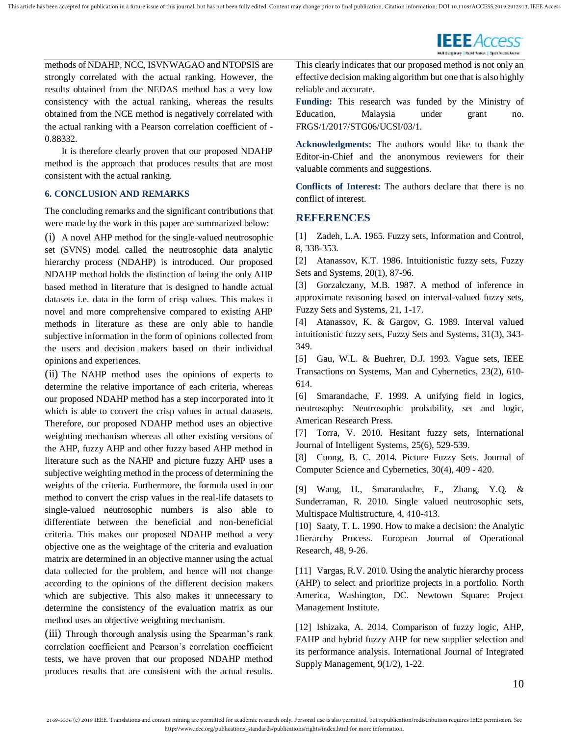methods of NDAHP, NCC, ISVNWAGAO and NTOPSIS are strongly correlated with the actual ranking. However, the results obtained from the NEDAS method has a very low consistency with the actual ranking, whereas the results obtained from the NCE method is negatively correlated with the actual ranking with a Pearson correlation coefficient of - 0.88332.

It is therefore clearly proven that our proposed NDAHP method is the approach that produces results that are most consistent with the actual ranking.

## **6. CONCLUSION AND REMARKS**

The concluding remarks and the significant contributions that were made by the work in this paper are summarized below:

(i) A novel AHP method for the single-valued neutrosophic set (SVNS) model called the neutrosophic data analytic hierarchy process (NDAHP) is introduced. Our proposed NDAHP method holds the distinction of being the only AHP based method in literature that is designed to handle actual datasets i.e. data in the form of crisp values. This makes it novel and more comprehensive compared to existing AHP methods in literature as these are only able to handle subjective information in the form of opinions collected from the users and decision makers based on their individual opinions and experiences.

(ii) The NAHP method uses the opinions of experts to determine the relative importance of each criteria, whereas our proposed NDAHP method has a step incorporated into it which is able to convert the crisp values in actual datasets. Therefore, our proposed NDAHP method uses an objective weighting mechanism whereas all other existing versions of the AHP, fuzzy AHP and other fuzzy based AHP method in literature such as the NAHP and picture fuzzy AHP uses a subjective weighting method in the process of determining the weights of the criteria. Furthermore, the formula used in our method to convert the crisp values in the real-life datasets to single-valued neutrosophic numbers is also able to differentiate between the beneficial and non-beneficial criteria. This makes our proposed NDAHP method a very objective one as the weightage of the criteria and evaluation matrix are determined in an objective manner using the actual data collected for the problem, and hence will not change according to the opinions of the different decision makers which are subjective. This also makes it unnecessary to determine the consistency of the evaluation matrix as our method uses an objective weighting mechanism.

(iii) Through thorough analysis using the Spearman's rank correlation coefficient and Pearson's correlation coefficient tests, we have proven that our proposed NDAHP method produces results that are consistent with the actual results.

This clearly indicates that our proposed method is not only an effective decision making algorithm but one that is also highly reliable and accurate.

**Funding:** This research was funded by the Ministry of Education, Malaysia under grant no. FRGS/1/2017/STG06/UCSI/03/1.

**Acknowledgments:** The authors would like to thank the Editor-in-Chief and the anonymous reviewers for their valuable comments and suggestions.

**Conflicts of Interest:** The authors declare that there is no conflict of interest.

### **REFERENCES**

[1] Zadeh, L.A. 1965. Fuzzy sets, Information and Control, 8, 338-353.

[2] Atanassov, K.T. 1986. Intuitionistic fuzzy sets, Fuzzy Sets and Systems, 20(1), 87-96.

[3] Gorzalczany, M.B. 1987. A method of inference in approximate reasoning based on interval-valued fuzzy sets, Fuzzy Sets and Systems, 21, 1-17.

[4] Atanassov, K. & Gargov, G. 1989. Interval valued intuitionistic fuzzy sets, Fuzzy Sets and Systems, 31(3), 343- 349.

[5] Gau, W.L. & Buehrer, D.J. 1993. Vague sets, IEEE Transactions on Systems, Man and Cybernetics, 23(2), 610- 614.

[6] Smarandache, F. 1999. A unifying field in logics, neutrosophy: Neutrosophic probability, set and logic, American Research Press.

[7] Torra, V. 2010. Hesitant fuzzy sets, International Journal of Intelligent Systems, 25(6), 529-539.

[8] Cuong, B. C. 2014. Picture Fuzzy Sets. Journal of Computer Science and Cybernetics, 30(4), 409 - 420.

[9] Wang, H., Smarandache, F., Zhang, Y.Q. & Sunderraman, R. 2010. Single valued neutrosophic sets, Multispace Multistructure, 4, 410-413.

[10] Saaty, T. L. 1990. How to make a decision: the Analytic Hierarchy Process. European Journal of Operational Research, 48, 9-26.

[11] Vargas, R.V. 2010. Using the analytic hierarchy process (AHP) to select and prioritize projects in a portfolio. North America, Washington, DC. Newtown Square: Project Management Institute.

[12] Ishizaka, A. 2014. Comparison of fuzzy logic, AHP, FAHP and hybrid fuzzy AHP for new supplier selection and its performance analysis. International Journal of Integrated Supply Management, 9(1/2), 1-22.

<sup>2169-3536 (</sup>c) 2018 IEEE. Translations and content mining are permitted for academic research only. Personal use is also permitted, but republication/redistribution requires IEEE permission. See http://www.ieee.org/publications\_standards/publications/rights/index.html for more information.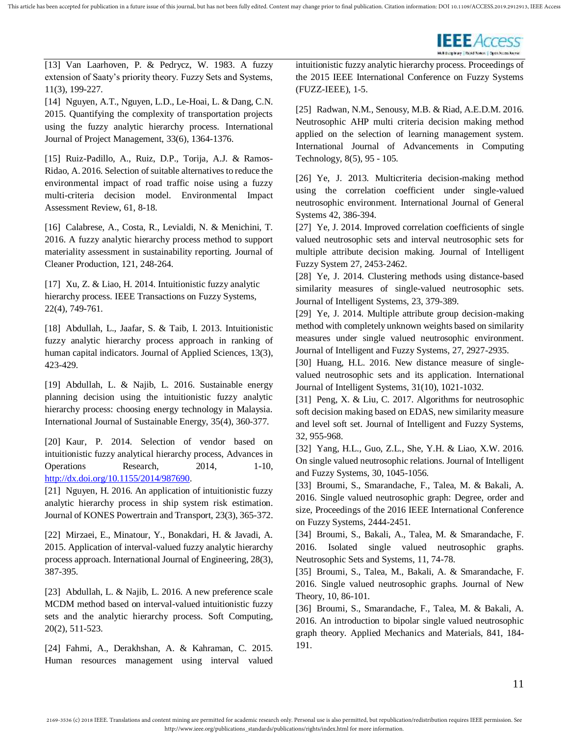[13] Van Laarhoven, P. & Pedrycz, W. 1983. A fuzzy extension of Saaty's priority theory. Fuzzy Sets and Systems, 11(3), 199-227.

[14] Nguyen, A.T., Nguyen, L.D., Le-Hoai, L. & Dang, C.N. 2015. Quantifying the complexity of transportation projects using the fuzzy analytic hierarchy process. International Journal of Project Management, 33(6), 1364-1376.

[15] Ruiz-Padillo, A., Ruiz, D.P., Torija, A.J. & Ramos-Ridao, A. 2016. Selection of suitable alternatives to reduce the environmental impact of road traffic noise using a fuzzy multi-criteria decision model. Environmental Impact Assessment Review, 61, 8-18.

[16] Calabrese, A., Costa, R., Levialdi, N. & Menichini, T. 2016. A fuzzy analytic hierarchy process method to support materiality assessment in sustainability reporting. Journal of Cleaner Production, 121, 248-264.

[17] Xu, Z. & Liao, H. 2014. Intuitionistic fuzzy analytic hierarchy process. IEEE Transactions on Fuzzy Systems, 22(4), 749-761.

[18] Abdullah, L., Jaafar, S. & Taib, I. 2013. Intuitionistic fuzzy analytic hierarchy process approach in ranking of human capital indicators. Journal of Applied Sciences, 13(3), 423-429.

[19] Abdullah, L. & Najib, L. 2016. Sustainable energy planning decision using the intuitionistic fuzzy analytic hierarchy process: choosing energy technology in Malaysia. International Journal of Sustainable Energy, 35(4), 360-377.

[20] Kaur, P. 2014. Selection of vendor based on intuitionistic fuzzy analytical hierarchy process, Advances in Operations Research, 2014, 1-10, [http://dx.doi.org/10.1155/2014/987690.](http://dx.doi.org/10.1155/2014/987690)

[21] Nguyen, H. 2016. An application of intuitionistic fuzzy analytic hierarchy process in ship system risk estimation. Journal of KONES Powertrain and Transport, 23(3), 365-372.

[22] Mirzaei, E., Minatour, Y., Bonakdari, H. & Javadi, A. 2015. Application of interval-valued fuzzy analytic hierarchy process approach. International Journal of Engineering, 28(3), 387-395.

[23] Abdullah, L. & Najib, L. 2016. A new preference scale MCDM method based on interval-valued intuitionistic fuzzy sets and the analytic hierarchy process. Soft Computing, 20(2), 511-523.

[24] Fahmi, A., Derakhshan, A. & Kahraman, C. 2015. Human resources management using interval valued intuitionistic fuzzy analytic hierarchy process. Proceedings of the 2015 IEEE International Conference on Fuzzy Systems (FUZZ-IEEE), 1-5.

[25] Radwan, N.M., Senousy, M.B. & Riad, A.E.D.M. 2016. Neutrosophic AHP multi criteria decision making method applied on the selection of learning management system. International Journal of Advancements in Computing Technology, 8(5), 95 - 105.

[26] Ye, J. 2013. Multicriteria decision-making method using the correlation coefficient under single-valued neutrosophic environment. International Journal of General Systems 42, 386-394.

[27] Ye, J. 2014. Improved correlation coefficients of single valued neutrosophic sets and interval neutrosophic sets for multiple attribute decision making. Journal of Intelligent Fuzzy System 27, 2453-2462.

[28] Ye, J. 2014. Clustering methods using distance-based similarity measures of single-valued neutrosophic sets. Journal of Intelligent Systems, 23, 379-389.

[29] Ye, J. 2014. Multiple attribute group decision-making method with completely unknown weights based on similarity measures under single valued neutrosophic environment. Journal of Intelligent and Fuzzy Systems, 27, 2927-2935.

[30] Huang, H.L. 2016. New distance measure of singlevalued neutrosophic sets and its application. International Journal of Intelligent Systems, 31(10), 1021-1032.

[31] Peng, X. & Liu, C. 2017. Algorithms for neutrosophic soft decision making based on EDAS, new similarity measure and level soft set. Journal of Intelligent and Fuzzy Systems, 32, 955-968.

[32] Yang, H.L., Guo, Z.L., She, Y.H. & Liao, X.W. 2016. On single valued neutrosophic relations. Journal of Intelligent and Fuzzy Systems, 30, 1045-1056.

[33] Broumi, S., Smarandache, F., Talea, M. & Bakali, A. 2016. Single valued neutrosophic graph: Degree, order and size, Proceedings of the 2016 IEEE International Conference on Fuzzy Systems, 2444-2451.

[34] Broumi, S., Bakali, A., Talea, M. & Smarandache, F. 2016. Isolated single valued neutrosophic graphs. Neutrosophic Sets and Systems, 11, 74-78.

[35] Broumi, S., Talea, M., Bakali, A. & Smarandache, F. 2016. Single valued neutrosophic graphs. Journal of New Theory, 10, 86-101.

[36] Broumi, S., Smarandache, F., Talea, M. & Bakali, A. 2016. An introduction to bipolar single valued neutrosophic graph theory. Applied Mechanics and Materials, 841, 184- 191.

2169-3536 (c) 2018 IEEE. Translations and content mining are permitted for academic research only. Personal use is also permitted, but republication/redistribution requires IEEE permission. See http://www.ieee.org/publications\_standards/publications/rights/index.html for more information.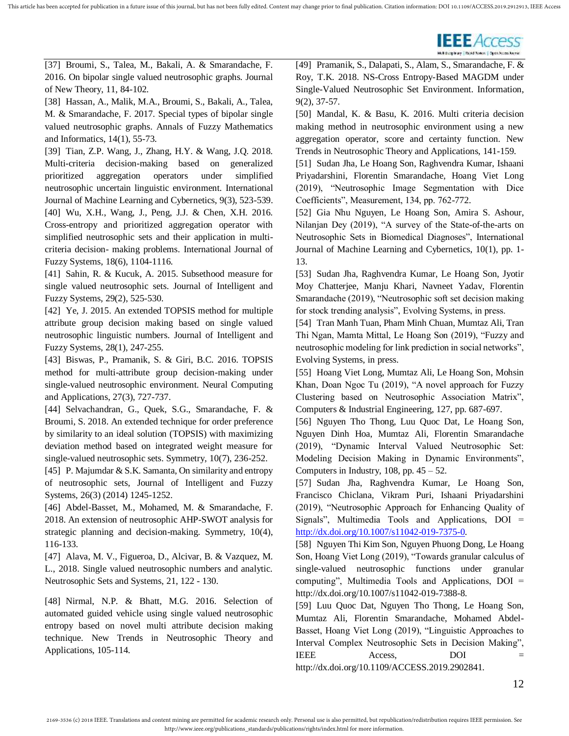[37] Broumi, S., Talea, M., Bakali, A. & Smarandache, F. 2016. On bipolar single valued neutrosophic graphs. Journal of New Theory, 11, 84-102.

[38] Hassan, A., Malik, M.A., Broumi, S., Bakali, A., Talea, M. & Smarandache, F. 2017. Special types of bipolar single valued neutrosophic graphs. Annals of Fuzzy Mathematics and Informatics, 14(1), 55-73.

[39] Tian, Z.P. Wang, J., Zhang, H.Y. & Wang, J.Q. 2018. Multi-criteria decision-making based on generalized prioritized aggregation operators under simplified neutrosophic uncertain linguistic environment. International Journal of Machine Learning and Cybernetics, 9(3), 523-539. [40] Wu, X.H., Wang, J., Peng, J.J. & Chen, X.H. 2016. Cross-entropy and prioritized aggregation operator with simplified neutrosophic sets and their application in multicriteria decision- making problems. International Journal of Fuzzy Systems, 18(6), 1104-1116.

[41] Sahin, R. & Kucuk, A. 2015. Subsethood measure for single valued neutrosophic sets. Journal of Intelligent and Fuzzy Systems, 29(2), 525-530.

[42] Ye, J. 2015. An extended TOPSIS method for multiple attribute group decision making based on single valued neutrosophic linguistic numbers. Journal of Intelligent and Fuzzy Systems, 28(1), 247-255.

[43] Biswas, P., Pramanik, S. & Giri, B.C. 2016. TOPSIS method for multi-attribute group decision-making under single-valued neutrosophic environment. Neural Computing and Applications, 27(3), 727-737.

[44] Selvachandran, G., Quek, S.G., Smarandache, F. & Broumi, S. 2018. An extended technique for order preference by similarity to an ideal solution (TOPSIS) with maximizing deviation method based on integrated weight measure for single-valued neutrosophic sets. Symmetry, 10(7), 236-252.

[45] P. Majumdar & S.K. Samanta, On similarity and entropy of neutrosophic sets, Journal of Intelligent and Fuzzy Systems, 26(3) (2014) 1245-1252.

[46] Abdel-Basset, M., Mohamed, M. & Smarandache, F. 2018. An extension of neutrosophic AHP-SWOT analysis for strategic planning and decision-making. Symmetry, 10(4), 116-133.

[47] Alava, M. V., Figueroa, D., Alcivar, B. & Vazquez, M. L., 2018. Single valued neutrosophic numbers and analytic. Neutrosophic Sets and Systems, 21, 122 - 130.

[48] Nirmal, N.P. & Bhatt, M.G. 2016. Selection of automated guided vehicle using single valued neutrosophic entropy based on novel multi attribute decision making technique. New Trends in Neutrosophic Theory and Applications, 105-114.

[49] Pramanik, S., Dalapati, S., Alam, S., Smarandache, F. & Roy, T.K. 2018. NS-Cross Entropy-Based MAGDM under Single-Valued Neutrosophic Set Environment. Information, 9(2), 37-57.

[50] Mandal, K. & Basu, K. 2016. Multi criteria decision making method in neutrosophic environment using a new aggregation operator, score and certainty function. New Trends in Neutrosophic Theory and Applications, 141-159.

[51] Sudan Jha, Le Hoang Son, Raghvendra Kumar, Ishaani Priyadarshini, Florentin Smarandache, Hoang Viet Long (2019), "Neutrosophic Image Segmentation with Dice Coefficients", Measurement, 134, pp. 762-772.

[52] Gia Nhu Nguyen, Le Hoang Son, Amira S. Ashour, Nilanjan Dey (2019), "A survey of the State-of-the-arts on Neutrosophic Sets in Biomedical Diagnoses", International Journal of Machine Learning and Cybernetics, 10(1), pp. 1- 13.

[53] Sudan Jha, Raghvendra Kumar, Le Hoang Son, Jyotir Moy Chatterjee, Manju Khari, Navneet Yadav, Florentin Smarandache (2019), "Neutrosophic soft set decision making for stock trending analysis", Evolving Systems, in press.

[54] Tran Manh Tuan, Pham Minh Chuan, Mumtaz Ali, Tran Thi Ngan, Mamta Mittal, Le Hoang Son (2019), "Fuzzy and neutrosophic modeling for link prediction in social networks", Evolving Systems, in press.

[55] Hoang Viet Long, Mumtaz Ali, Le Hoang Son, Mohsin Khan, Doan Ngoc Tu (2019), "A novel approach for Fuzzy Clustering based on Neutrosophic Association Matrix", Computers & Industrial Engineering, 127, pp. 687-697.

[56] Nguyen Tho Thong, Luu Quoc Dat, Le Hoang Son, Nguyen Dinh Hoa, Mumtaz Ali, Florentin Smarandache (2019), "Dynamic Interval Valued Neutrosophic Set: Modeling Decision Making in Dynamic Environments", Computers in Industry,  $108$ , pp.  $45 - 52$ .

[57] Sudan Jha, Raghvendra Kumar, Le Hoang Son, Francisco Chiclana, Vikram Puri, Ishaani Priyadarshini (2019), "Neutrosophic Approach for Enhancing Quality of Signals", Multimedia Tools and Applications, DOI = [http://dx.doi.org/10.1007/s11042-019-7375-0.](http://dx.doi.org/10.1007/s11042-019-7375-0)

[58] Nguyen Thi Kim Son, Nguyen Phuong Dong, Le Hoang Son, Hoang Viet Long (2019), "Towards granular calculus of single-valued neutrosophic functions under granular computing", Multimedia Tools and Applications, DOI = http://dx.doi.org/10.1007/s11042-019-7388-8.

[59] Luu Quoc Dat, Nguyen Tho Thong, Le Hoang Son, Mumtaz Ali, Florentin Smarandache, Mohamed Abdel-Basset, Hoang Viet Long (2019), "Linguistic Approaches to Interval Complex Neutrosophic Sets in Decision Making", IEEE Access, DOI http://dx.doi.org/10.1109/ACCESS.2019.2902841.